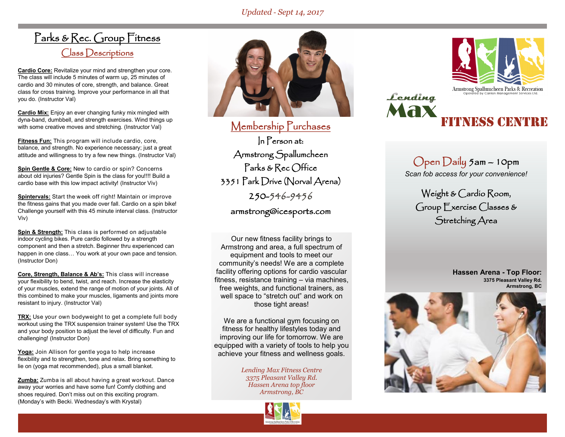### *Updated* - *Sept 14, 2017*

## Parks & Rec. Group Fitness Class Descriptions

**Cardio Core:** Revitalize your mind and strengthen your core. The class will include 5 minutes of warm up, 25 minutes of cardio and 30 minutes of core, strength, and balance. Great class for cross training. Improve your performance in all that you do. (Instructor Val)

**Cardio Mix:** Enjoy an ever changing funky mix mingled with dyna-band, dumbbell, and strength exercises. Wind things up with some creative moves and stretching. (Instructor Val)

**Fitness Fun:** This program will include cardio, core, balance, and strength. No experience necessary; just a great attitude and willingness to try a few new things. (Instructor Val)

**Spin Gentle & Core:** New to cardio or spin? Concerns about old injuries? Gentle Spin is the class for you!!!! Build a cardio base with this low impact activity! (Instructor Viv)

**Spintervals:** Start the week off right! Maintain or improve the fitness gains that you made over fall. Cardio on a spin bike! Challenge yourself with this 45 minute interval class. (Instructor Viv)

**Spin & Strength:** This class is performed on adjustable indoor cycling bikes. Pure cardio followed by a strength component and then a stretch. Beginner thru experienced can happen in one class… You work at your own pace and tension. (Instructor Don)

**Core, Strength, Balance & Ab's:** This class will increase your flexibility to bend, twist, and reach. Increase the elasticity of your muscles, extend the range of motion of your joints. All of this combined to make your muscles, ligaments and joints more resistant to injury. (Instructor Val)

**TRX:** Use your own bodyweight to get a complete full body workout using the TRX suspension trainer system! Use the TRX and your body position to adjust the level of difficulty. Fun and challenging! (Instructor Don)

**Yoga:** Join Allison for gentle yoga to help increase flexibility and to strengthen, tone and relax. Bring something to lie on (yoga mat recommended), plus a small blanket.

**Zumba:** Zumba is all about having a great workout. Dance away your worries and have some fun! Comfy clothing and shoes required. Don't miss out on this exciting program. (Monday's with Becki. Wednesday's with Krystal)



Membership Purchases In Person at: Armstrong Spallumcheen Parks & Rec Office 3351 Park Drive (Norval Arena) 250-546-9456 armstrong@icesports.com

Our new fitness facility brings to Armstrong and area, a full spectrum of equipment and tools to meet our community's needs! We are a complete facility offering options for cardio vascular fitness, resistance training – via machines, free weights, and functional trainers, as well space to "stretch out" and work on those tight areas!

We are a functional gym focusing on fitness for healthy lifestyles today and improving our life for tomorrow. We are equipped with a variety of tools to help you achieve your fitness and wellness goals.

> *Lending Max Fitness Centre 3375 Pleasant Valley Rd. Hassen Arena top floor Armstrong, BC*





Fitness Centre

Open Daily 5am – 10pm *Scan fob access for your convenience!*

Weight & Cardio Room, Group Exercise Classes & Stretching Area

> **Hassen Arena - Top Floor: 3375 Pleasant Valley Rd. Armstrong, BC**